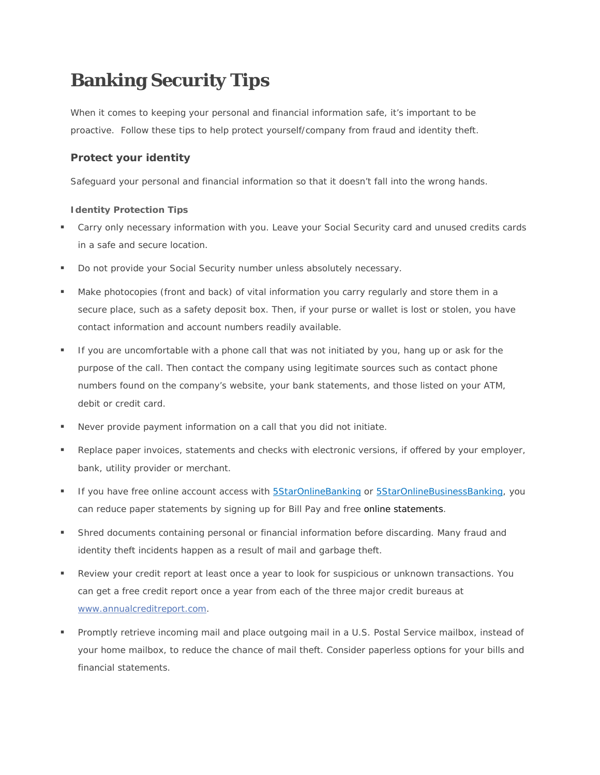# **Banking Security Tips**

When it comes to keeping your personal and financial information safe, it's important to be proactive. Follow these tips to help protect yourself/company from fraud and identity theft.

# **Protect your identity**

Safeguard your personal and financial information so that it doesn't fall into the wrong hands.

# **[Identity Protection Tips](https://www.wellsfargo.com/privacy-security/fraud/protect/fraud-tips%23Show)**

- Carry only necessary information with you. Leave your Social Security card and unused credits cards in a safe and secure location.
- **Do not provide your Social Security number unless absolutely necessary.**
- Make photocopies (front and back) of vital information you carry regularly and store them in a secure place, such as a safety deposit box. Then, if your purse or wallet is lost or stolen, you have contact information and account numbers readily available.
- If you are uncomfortable with a phone call that was not initiated by you, hang up or ask for the purpose of the call. Then contact the company using legitimate sources such as contact phone numbers found on the company's website, your bank statements, and those listed on your ATM, debit or credit card.
- Never provide payment information on a call that you did not initiate.
- **Parallel Exercise** Paper invoices, statements and checks with electronic versions, if offered by your employer, bank, utility provider or merchant.
- If you have free online account access with [5StarOnlineBanking](https://www.5staronlinebanking.com/tob/live/usp-core/app/login/consumer) or [5StarOnlineBusinessBanking,](https://5staronlinebanking.btbanking.com/onlineserv/CM/) you can reduce paper statements by signing up for Bill Pay and free online statements.
- Shred documents containing personal or financial information before discarding. Many fraud and identity theft incidents happen as a result of mail and garbage theft.
- Review your credit report at least once a year to look for suspicious or unknown transactions. You can get a free credit report once a year from each of the three major credit bureaus at [www.annualcreditreport.com.](https://www.annualcreditreport.com/index.action)
- **Promptly retrieve incoming mail and place outgoing mail in a U.S. Postal Service mailbox, instead of** your home mailbox, to reduce the chance of mail theft. Consider paperless options for your bills and financial statements.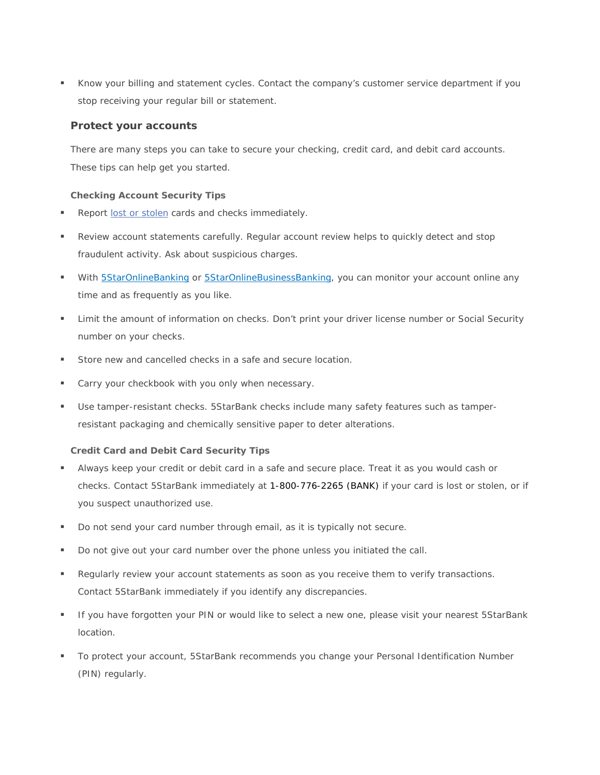Know your billing and statement cycles. Contact the company's customer service department if you stop receiving your regular bill or statement.

# **Protect your accounts**

There are many steps you can take to secure your checking, credit card, and debit card accounts. These tips can help get you started.

# **[Checking Account Security Tips](https://www.wellsfargo.com/privacy-security/fraud/protect/fraud-tips%23Show)**

- Report [lost or stolen](http://www.5starbankus.com/contact-us.aspx) cards and checks immediately.
- Review account statements carefully. Regular account review helps to quickly detect and stop fraudulent activity. Ask about suspicious charges.
- With **5StarOnlineBanking or 5StarOnlineBusinessBanking**, you can monitor your account online any time and as frequently as you like.
- Limit the amount of information on checks. Don't print your driver license number or Social Security number on your checks.
- Store new and cancelled checks in a safe and secure location.
- **Carry your checkbook with you only when necessary.**
- Use tamper-resistant checks. 5StarBank checks include many safety features such as tamperresistant packaging and chemically sensitive paper to deter alterations.

# **[Credit Card and Debit Card Security Tips](https://www.wellsfargo.com/privacy-security/fraud/protect/fraud-tips%23Show)**

- Always keep your credit or debit card in a safe and secure place. Treat it as you would cash or checks. Contact 5StarBank immediately at 1-800-776-2265 (BANK) if your card is lost or stolen, or if you suspect unauthorized use.
- Do not send your card number through email, as it is typically not secure.
- Do not give out your card number over the phone unless you initiated the call.
- **Regularly review your account statements as soon as you receive them to verify transactions.** Contact 5StarBank immediately if you identify any discrepancies.
- If you have forgotten your PIN or would like to select a new one, please visit your nearest 5StarBank location.
- To protect your account, 5StarBank recommends you change your Personal Identification Number (PIN) regularly.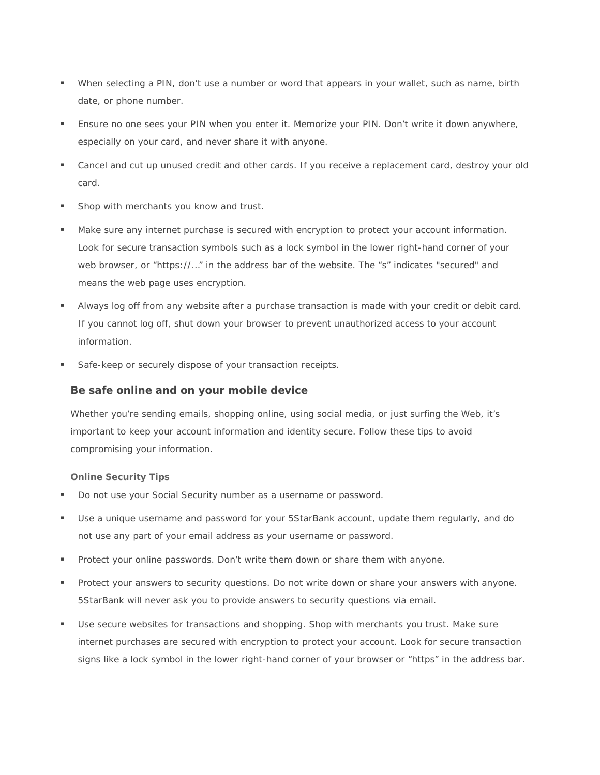- When selecting a PIN, don't use a number or word that appears in your wallet, such as name, birth date, or phone number.
- **Ensure no one sees your PIN when you enter it. Memorize your PIN. Don't write it down anywhere,** especially on your card, and never share it with anyone.
- Cancel and cut up unused credit and other cards. If you receive a replacement card, destroy your old card.
- Shop with merchants you know and trust.
- Make sure any internet purchase is secured with encryption to protect your account information. Look for secure transaction symbols such as a lock symbol in the lower right-hand corner of your web browser, or "https://..." in the address bar of the website. The "s" indicates "secured" and means the web page uses encryption.
- Always log off from any website after a purchase transaction is made with your credit or debit card. If you cannot log off, shut down your browser to prevent unauthorized access to your account information.
- Safe-keep or securely dispose of your transaction receipts.

# **Be safe online and on your mobile device**

Whether you're sending emails, shopping online, using social media, or just surfing the Web, it's important to keep your account information and identity secure. Follow these tips to avoid compromising your information.

# **[Online Security Tips](https://www.wellsfargo.com/privacy-security/fraud/protect/fraud-tips%23Show)**

- Do not use your Social Security number as a username or password.
- Use a unique username and password for your 5StarBank account, update them regularly, and do not use any part of your email address as your username or password.
- **Protect your online passwords. Don't write them down or share them with anyone.**
- **Protect your answers to security questions. Do not write down or share your answers with anyone.** 5StarBank will never ask you to provide answers to security questions via email.
- Use secure websites for transactions and shopping. Shop with merchants you trust. Make sure internet purchases are secured with encryption to protect your account. Look for secure transaction signs like a lock symbol in the lower right-hand corner of your browser or "https" in the address bar.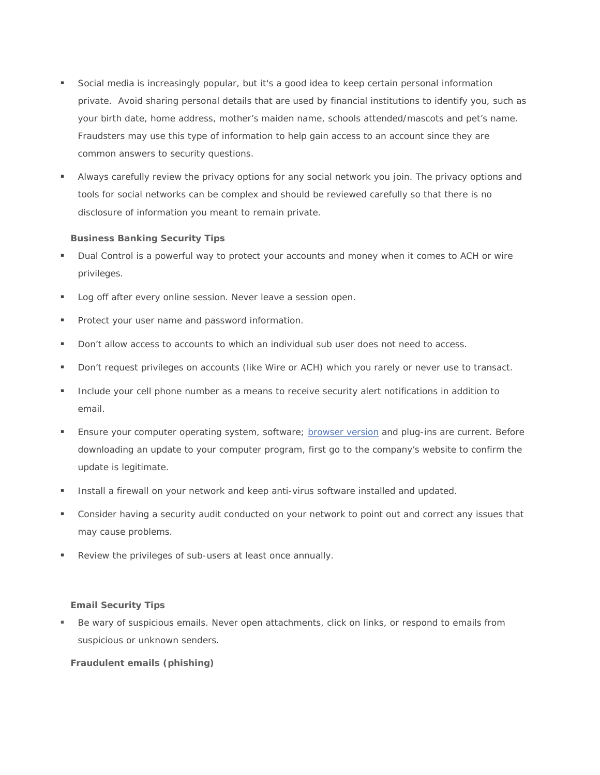- Social media is increasingly popular, but it's a good idea to keep certain personal information private. Avoid sharing personal details that are used by financial institutions to identify you, such as your birth date, home address, mother's maiden name, schools attended/mascots and pet's name. Fraudsters may use this type of information to help gain access to an account since they are common answers to security questions.
- Always carefully review the privacy options for any social network you join. The privacy options and tools for social networks can be complex and should be reviewed carefully so that there is no disclosure of information you meant to remain private.

# **[Business Banking Security Tips](https://www.wellsfargo.com/privacy-security/fraud/protect/fraud-tips%23Show)**

- Dual Control is a powerful way to protect your accounts and money when it comes to ACH or wire privileges.
- Log off after every online session. Never leave a session open.
- **Protect your user name and password information.**
- **Don't allow access to accounts to which an individual sub user does not need to access.**
- Don't request privileges on accounts (like Wire or ACH) which you rarely or never use to transact.
- **Include your cell phone number as a means to receive security alert notifications in addition to** email.
- Ensure your computer operating system, software; [browser version](https://resource1.static.ifs.intuit.com/product/usp/prod/static/V2.7.7-2/static/help.html%23browserrequirements) and plug-ins are current. Before downloading an update to your computer program, first go to the company's website to confirm the update is legitimate.
- **Install a firewall on your network and keep anti-virus software installed and updated.**
- Consider having a security audit conducted on your network to point out and correct any issues that may cause problems.
- Review the privileges of sub-users at least once annually.

#### **[Email Security Tips](https://www.wellsfargo.com/privacy-security/fraud/protect/fraud-tips%23Show)**

 Be wary of suspicious emails. Never open attachments, click on links, or respond to emails from suspicious or unknown senders.

#### **[Fraudulent emails \(phishing\)](https://www.wellsfargo.com/privacy-security/fraud/common-methods/%23Show)**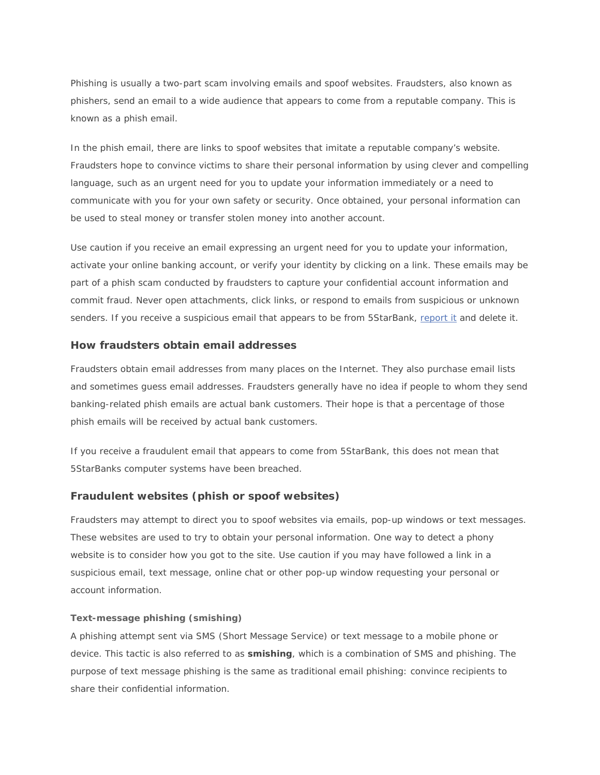Phishing is usually a two-part scam involving emails and spoof websites. Fraudsters, also known as phishers, send an email to a wide audience that appears to come from a reputable company. This is known as a phish email.

In the phish email, there are links to spoof websites that imitate a reputable company's website. Fraudsters hope to convince victims to share their personal information by using clever and compelling language, such as an urgent need for you to update your information immediately or a need to communicate with you for your own safety or security. Once obtained, your personal information can be used to steal money or transfer stolen money into another account.

Use caution if you receive an email expressing an urgent need for you to update your information, activate your online banking account, or verify your identity by clicking on a link. These emails may be part of a phish scam conducted by fraudsters to capture your confidential account information and commit fraud. Never open attachments, click links, or respond to emails from suspicious or unknown senders. If you receive a suspicious email that appears to be from 5StarBank, [report it](http://www.5starbankus.com/contact-us.aspx) and delete it.

# **How fraudsters obtain email addresses**

Fraudsters obtain email addresses from many places on the Internet. They also purchase email lists and sometimes guess email addresses. Fraudsters generally have no idea if people to whom they send banking-related phish emails are actual bank customers. Their hope is that a percentage of those phish emails will be received by actual bank customers.

If you receive a fraudulent email that appears to come from 5StarBank, this does not mean that 5StarBanks computer systems have been breached.

# **Fraudulent websites (phish or spoof websites)**

Fraudsters may attempt to direct you to spoof websites via emails, pop-up windows or text messages. These websites are used to try to obtain your personal information. One way to detect a phony website is to consider how you got to the site. Use caution if you may have followed a link in a suspicious email, text message, online chat or other pop-up window requesting your personal or account information.

#### **[Text-message phishing \(smishing\)](https://www.wellsfargo.com/privacy-security/fraud/common-methods/%23Show)**

A phishing attempt sent via SMS (Short Message Service) or text message to a mobile phone or device. This tactic is also referred to as **smishing**, which is a combination of SMS and phishing. The purpose of text message phishing is the same as traditional email phishing: convince recipients to share their confidential information.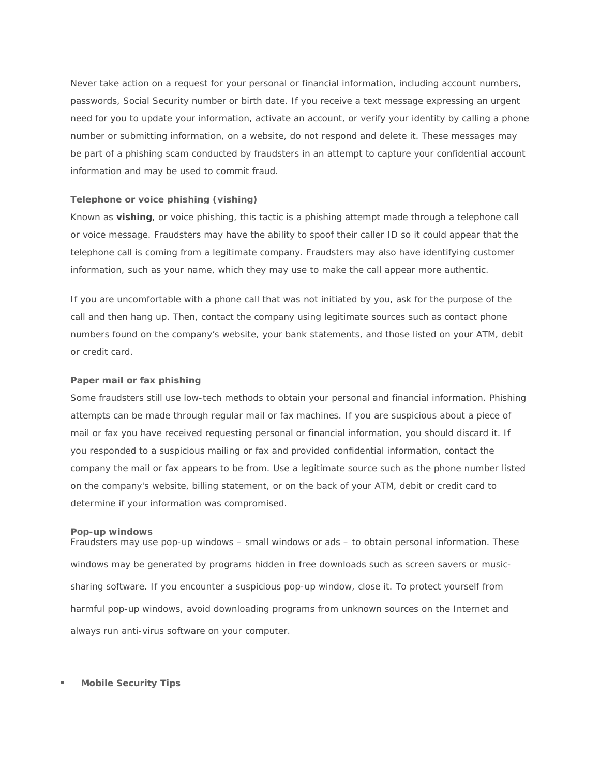Never take action on a request for your personal or financial information, including account numbers, passwords, Social Security number or birth date. If you receive a text message expressing an urgent need for you to update your information, activate an account, or verify your identity by calling a phone number or submitting information, on a website, do not respond and delete it. These messages may be part of a phishing scam conducted by fraudsters in an attempt to capture your confidential account information and may be used to commit fraud.

#### **[Telephone or voice phishing \(vishing\)](https://www.wellsfargo.com/privacy-security/fraud/common-methods/%23Show)**

Known as **vishing**, or voice phishing, this tactic is a phishing attempt made through a telephone call or voice message. Fraudsters may have the ability to spoof their caller ID so it could appear that the telephone call is coming from a legitimate company. Fraudsters may also have identifying customer information, such as your name, which they may use to make the call appear more authentic.

If you are uncomfortable with a phone call that was not initiated by you, ask for the purpose of the call and then hang up. Then, contact the company using legitimate sources such as contact phone numbers found on the company's website, your bank statements, and those listed on your ATM, debit or credit card.

#### **[Paper mail or fax phishing](https://www.wellsfargo.com/privacy-security/fraud/common-methods/%23Show)**

Some fraudsters still use low-tech methods to obtain your personal and financial information. Phishing attempts can be made through regular mail or fax machines. If you are suspicious about a piece of mail or fax you have received requesting personal or financial information, you should discard it. If you responded to a suspicious mailing or fax and provided confidential information, contact the company the mail or fax appears to be from. Use a legitimate source such as the phone number listed on the company's website, billing statement, or on the back of your ATM, debit or credit card to determine if your information was compromised.

#### **[Pop-up windows](https://www.wellsfargo.com/privacy-security/fraud/common-methods/%23Show)**

Fraudsters may use pop-up windows – small windows or ads – to obtain personal information. These windows may be generated by programs hidden in free downloads such as screen savers or musicsharing software. If you encounter a suspicious pop-up window, close it. To protect yourself from harmful pop-up windows, avoid downloading programs from unknown sources on the Internet and always run anti-virus software on your computer.

#### **[Mobile Security Tips](https://www.wellsfargo.com/privacy-security/fraud/protect/fraud-tips%23Show)**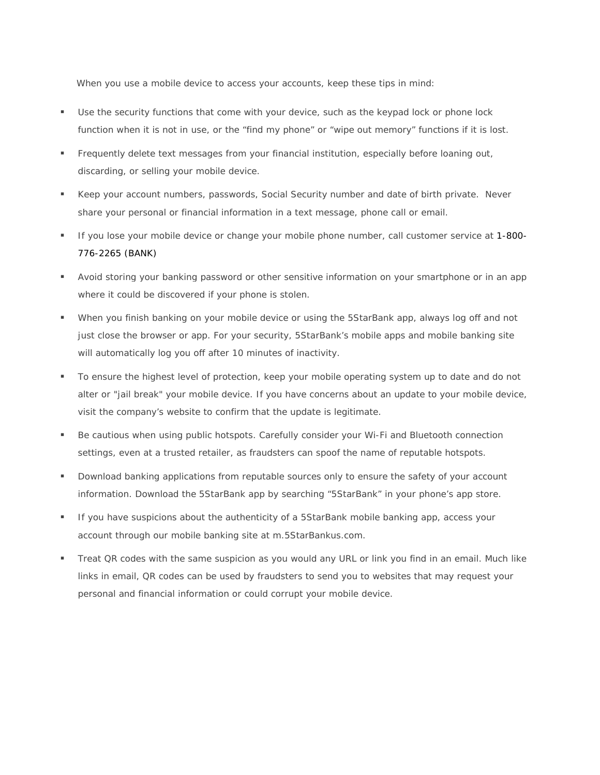When you use a mobile device to access your accounts, keep these tips in mind:

- Use the security functions that come with your device, such as the keypad lock or phone lock function when it is not in use, or the "find my phone" or "wipe out memory" functions if it is lost.
- **Frequently delete text messages from your financial institution, especially before loaning out,** discarding, or selling your mobile device.
- Keep your account numbers, passwords, Social Security number and date of birth private. Never share your personal or financial information in a text message, phone call or email.
- If you lose your mobile device or change your mobile phone number, call customer service at 1-800-776-2265 (BANK)
- Avoid storing your banking password or other sensitive information on your smartphone or in an app where it could be discovered if your phone is stolen.
- When you finish banking on your mobile device or using the 5StarBank app, always log off and not just close the browser or app. For your security, 5StarBank's mobile apps and mobile banking site will automatically log you off after 10 minutes of inactivity.
- To ensure the highest level of protection, keep your mobile operating system up to date and do not alter or "jail break" your mobile device. If you have concerns about an update to your mobile device, visit the company's website to confirm that the update is legitimate.
- Be cautious when using public hotspots. Carefully consider your Wi-Fi and Bluetooth connection settings, even at a trusted retailer, as fraudsters can spoof the name of reputable hotspots.
- **Download banking applications from reputable sources only to ensure the safety of your account** information. Download the 5StarBank app by searching "5StarBank" in your phone's app store.
- **If you have suspicions about the authenticity of a 5StarBank mobile banking app, access your** account through our mobile banking site at m.5StarBankus.com.
- Treat QR codes with the same suspicion as you would any URL or link you find in an email. Much like links in email, QR codes can be used by fraudsters to send you to websites that may request your personal and financial information or could corrupt your mobile device.